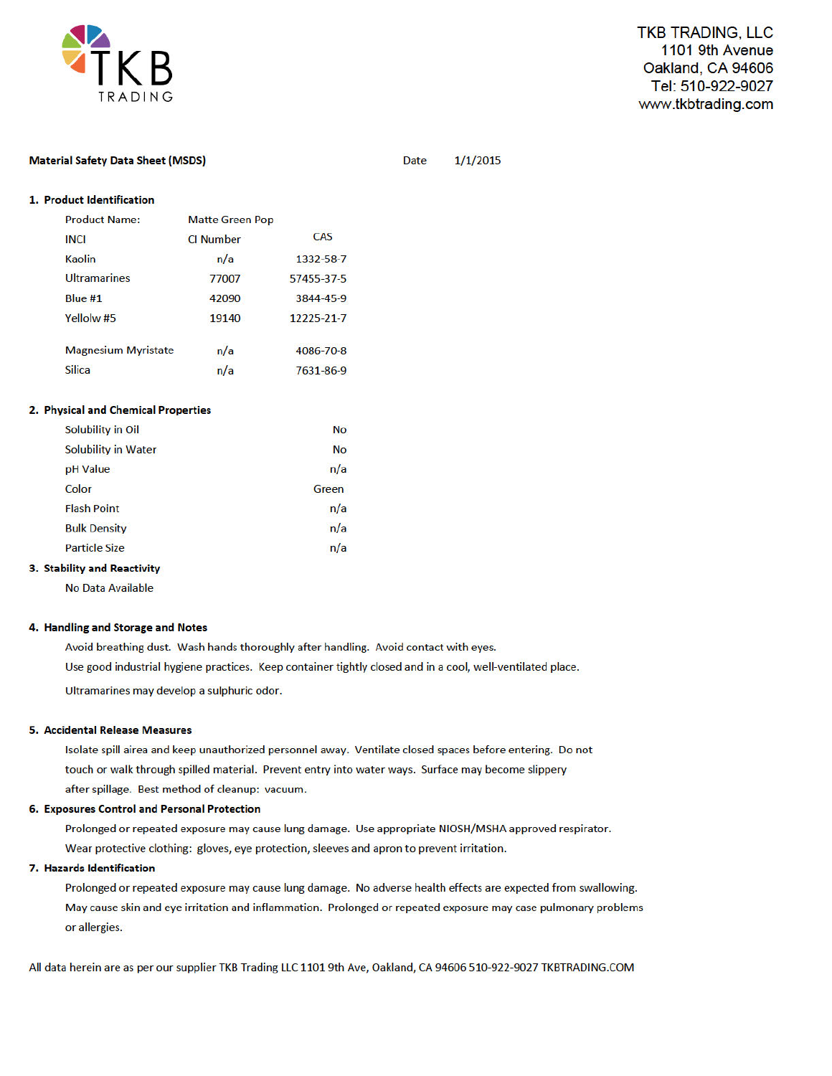

**Material Safety Data Sheet (MSDS)** 

 $1/1/2015$ 

**Date** 

| <b>Product Name:</b>                | <b>Matte Green Pop</b> |            |
|-------------------------------------|------------------------|------------|
| <b>INCI</b>                         | <b>CI Number</b>       | CAS        |
| <b>Kaolin</b>                       | n/a                    | 1332-58-7  |
| <b>Ultramarines</b>                 | 77007                  | 57455-37-5 |
| Blue $#1$                           | 42090                  | 3844-45-9  |
| Yellolw <sub>#5</sub>               | 19140                  | 12225-21-7 |
| <b>Magnesium Myristate</b>          | n/a                    | 4086-70-8  |
| <b>Silica</b>                       | n/a                    | 7631-86-9  |
| 2. Physical and Chemical Properties |                        |            |
| Solubility in Oil                   |                        | <b>No</b>  |
| <b>Solubility in Water</b>          |                        | <b>No</b>  |

| pH Value             | n/a   |
|----------------------|-------|
| Color                | Green |
| <b>Flash Point</b>   | n/a   |
| <b>Bulk Density</b>  | n/a   |
| <b>Particle Size</b> | n/a   |

## 3. Stability and Reactivity

No Data Available

### 4. Handling and Storage and Notes

Avoid breathing dust. Wash hands thoroughly after handling. Avoid contact with eyes. Use good industrial hygiene practices. Keep container tightly closed and in a cool, well-ventilated place. Ultramarines may develop a sulphuric odor.

#### 5. Accidental Release Measures

Isolate spill airea and keep unauthorized personnel away. Ventilate closed spaces before entering. Do not touch or walk through spilled material. Prevent entry into water ways. Surface may become slippery after spillage. Best method of cleanup: vacuum.

## 6. Exposures Control and Personal Protection

Prolonged or repeated exposure may cause lung damage. Use appropriate NIOSH/MSHA approved respirator. Wear protective clothing: gloves, eye protection, sleeves and apron to prevent irritation.

## 7. Hazards Identification

Prolonged or repeated exposure may cause lung damage. No adverse health effects are expected from swallowing. May cause skin and eye irritation and inflammation. Prolonged or repeated exposure may case pulmonary problems or allergies.

All data herein are as per our supplier TKB Trading LLC 1101 9th Ave, Oakland, CA 94606 510-922-9027 TKBTRADING.COM